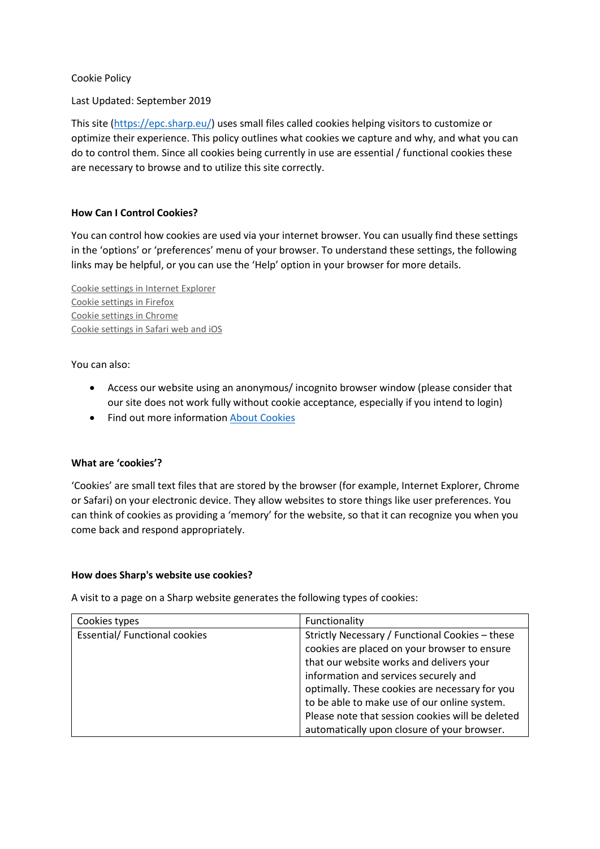Cookie Policy

Last Updated: September 2019

This site [\(https://epc.sharp.eu/\)](https://epc.sharp.eu/) uses small files called cookies helping visitors to customize or optimize their experience. This policy outlines what cookies we capture and why, and what you can do to control them. Since all cookies being currently in use are essential / functional cookies these are necessary to browse and to utilize this site correctly.

## **How Can I Control Cookies?**

You can control how cookies are used via your internet browser. You can usually find these settings in the 'options' or 'preferences' menu of your browser. To understand these settings, the following links may be helpful, or you can use the 'Help' option in your browser for more details.

Cookie settings in Internet [Explorer](https://support.microsoft.com/en-us/help/17442/windows-internet-explorer-delete-manage-cookies) Cookie [settings](https://support.mozilla.org/en-US/kb/enable-and-disable-cookies-website-preferences) in Firefox Cookie settings in [Chrome](https://support.google.com/chrome/answer/95647?co=GENIE.Platform%3DDesktop&hl=en) Cookie [settings](https://support.apple.com/kb/ph21411?locale=en_US) in Safari web and iOS

You can also:

- Access our website using an anonymous/ incognito browser window (please consider that our site does not work fully without cookie acceptance, especially if you intend to login)
- Find out more information [About Cookies](https://www.aboutcookies.org/)

## **What are 'cookies'?**

'Cookies' are small text files that are stored by the browser (for example, Internet Explorer, Chrome or Safari) on your electronic device. They allow websites to store things like user preferences. You can think of cookies as providing a 'memory' for the website, so that it can recognize you when you come back and respond appropriately.

## **How does Sharp's website use cookies?**

A visit to a page on a Sharp website generates the following types of cookies:

| Cookies types                        | Functionality                                    |
|--------------------------------------|--------------------------------------------------|
| <b>Essential/ Functional cookies</b> | Strictly Necessary / Functional Cookies - these  |
|                                      | cookies are placed on your browser to ensure     |
|                                      | that our website works and delivers your         |
|                                      | information and services securely and            |
|                                      | optimally. These cookies are necessary for you   |
|                                      | to be able to make use of our online system.     |
|                                      | Please note that session cookies will be deleted |
|                                      | automatically upon closure of your browser.      |